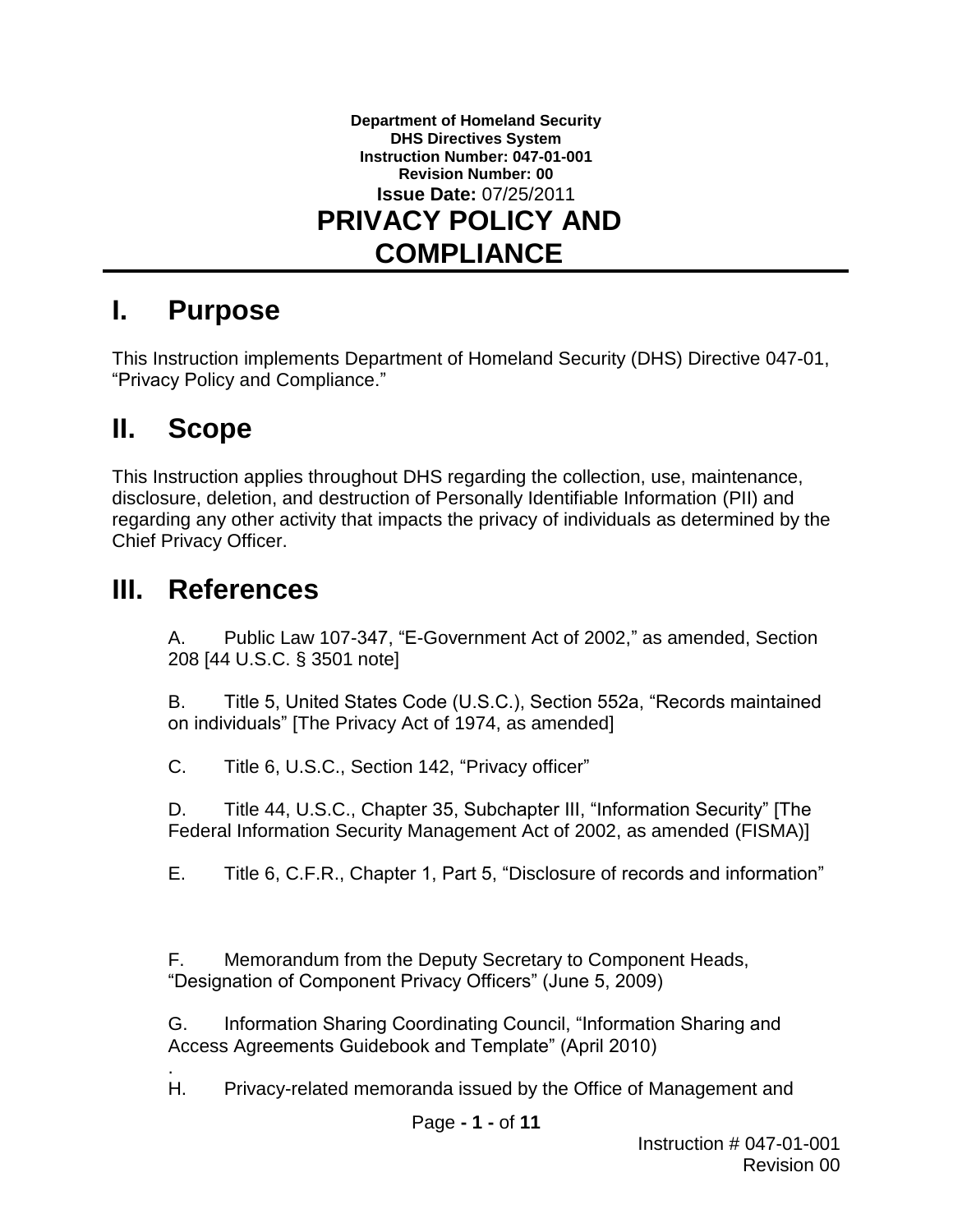

### **I. Purpose**

This Instruction implements Department of Homeland Security (DHS) Directive 047-01, "Privacy Policy and Compliance."

## **II. Scope**

This Instruction applies throughout DHS regarding the collection, use, maintenance, disclosure, deletion, and destruction of Personally Identifiable Information (PII) and regarding any other activity that impacts the privacy of individuals as determined by the Chief Privacy Officer.

## **III. References**

A. Public Law 107-347, "E-Government Act of 2002," as amended, Section 208 [44 U.S.C. § 3501 note]

B. Title 5, United States Code (U.S.C.), Section 552a, "Records maintained on individuals" [The Privacy Act of 1974, as amended]

C. Title 6, U.S.C., Section 142, "Privacy officer"

D. Title 44, U.S.C., Chapter 35, Subchapter III, "Information Security" [The Federal Information Security Management Act of 2002, as amended (FISMA)]

E. Title 6, C.F.R., Chapter 1, Part 5, "Disclosure of records and information"

F. Memorandum from the Deputy Secretary to Component Heads, "Designation of Component Privacy Officers" (June 5, 2009)

G. Information Sharing Coordinating Council, "Information Sharing and Access Agreements Guidebook and Template" (April 2010)

. H. Privacy-related memoranda issued by the Office of Management and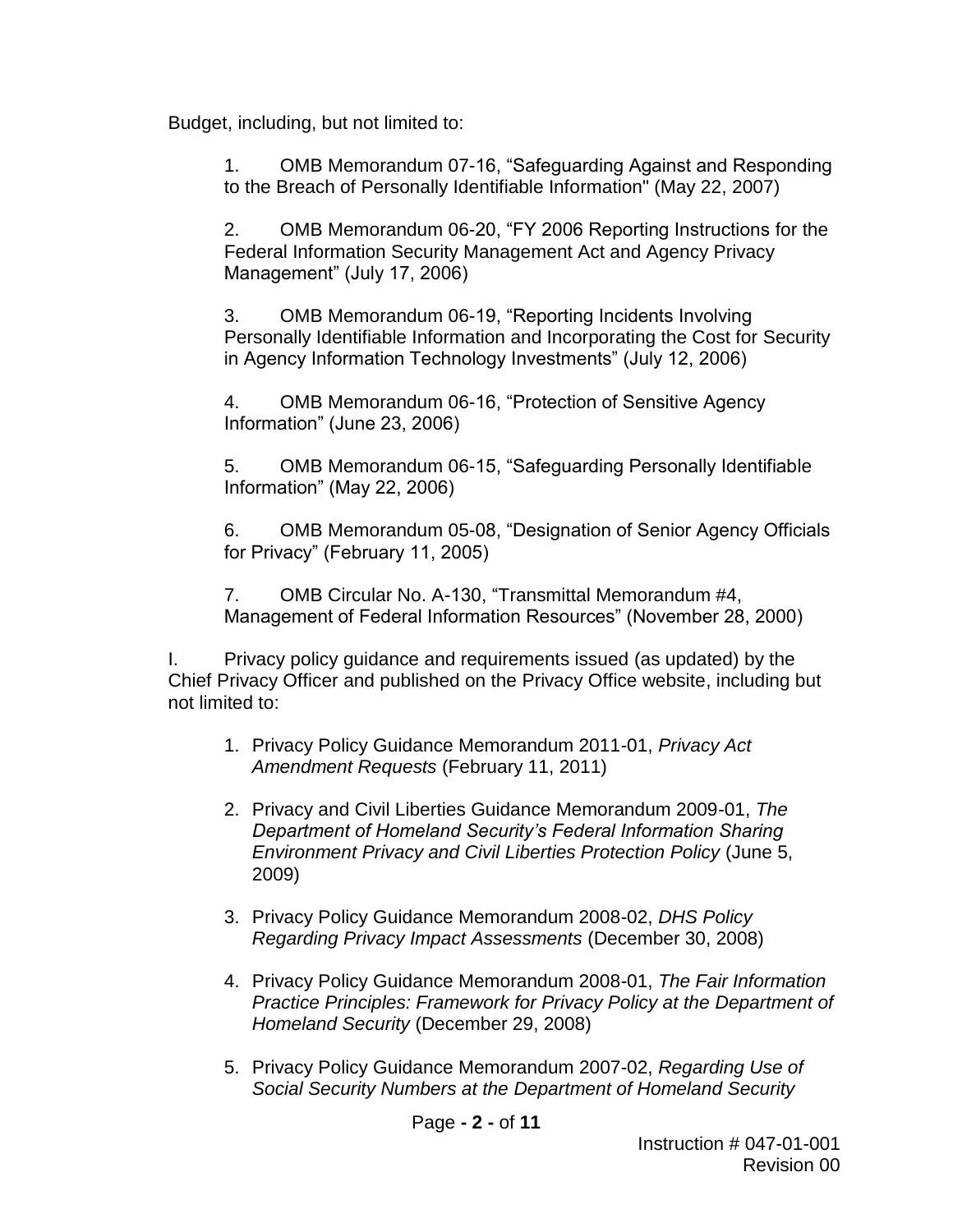Budget, including, but not limited to:

1. OMB Memorandum 07-16, "Safeguarding Against and Responding to the Breach of Personally Identifiable Information" (May 22, 2007)

2. OMB Memorandum 06-20, "FY 2006 Reporting Instructions for the Federal Information Security Management Act and Agency Privacy Management" (July 17, 2006)

3. OMB Memorandum 06-19, "Reporting Incidents Involving Personally Identifiable Information and Incorporating the Cost for Security in Agency Information Technology Investments" (July 12, 2006)

4. OMB Memorandum 06-16, "Protection of Sensitive Agency Information" (June 23, 2006)

5. OMB Memorandum 06-15, "Safeguarding Personally Identifiable Information" (May 22, 2006)

6. OMB Memorandum 05-08, "Designation of Senior Agency Officials for Privacy" (February 11, 2005)

7. OMB Circular No. A-130, "Transmittal Memorandum #4, Management of Federal Information Resources" (November 28, 2000)

I. Privacy policy guidance and requirements issued (as updated) by the Chief Privacy Officer and published on the Privacy Office website, including but not limited to:

- 1. Privacy Policy Guidance Memorandum 2011-01, *Privacy Act Amendment Requests* (February 11, 2011)
- 2. Privacy and Civil Liberties Guidance Memorandum 2009-01, *The Department of Homeland Security's Federal Information Sharing Environment Privacy and Civil Liberties Protection Policy* (June 5, 2009)
- 3. Privacy Policy Guidance Memorandum 2008-02, *DHS Policy Regarding Privacy Impact Assessments* (December 30, 2008)
- 4. Privacy Policy Guidance Memorandum 2008-01, *The Fair Information Practice Principles: Framework for Privacy Policy at the Department of Homeland Security* (December 29, 2008)
- 5. Privacy Policy Guidance Memorandum 2007-02, *Regarding Use of Social Security Numbers at the Department of Homeland Security*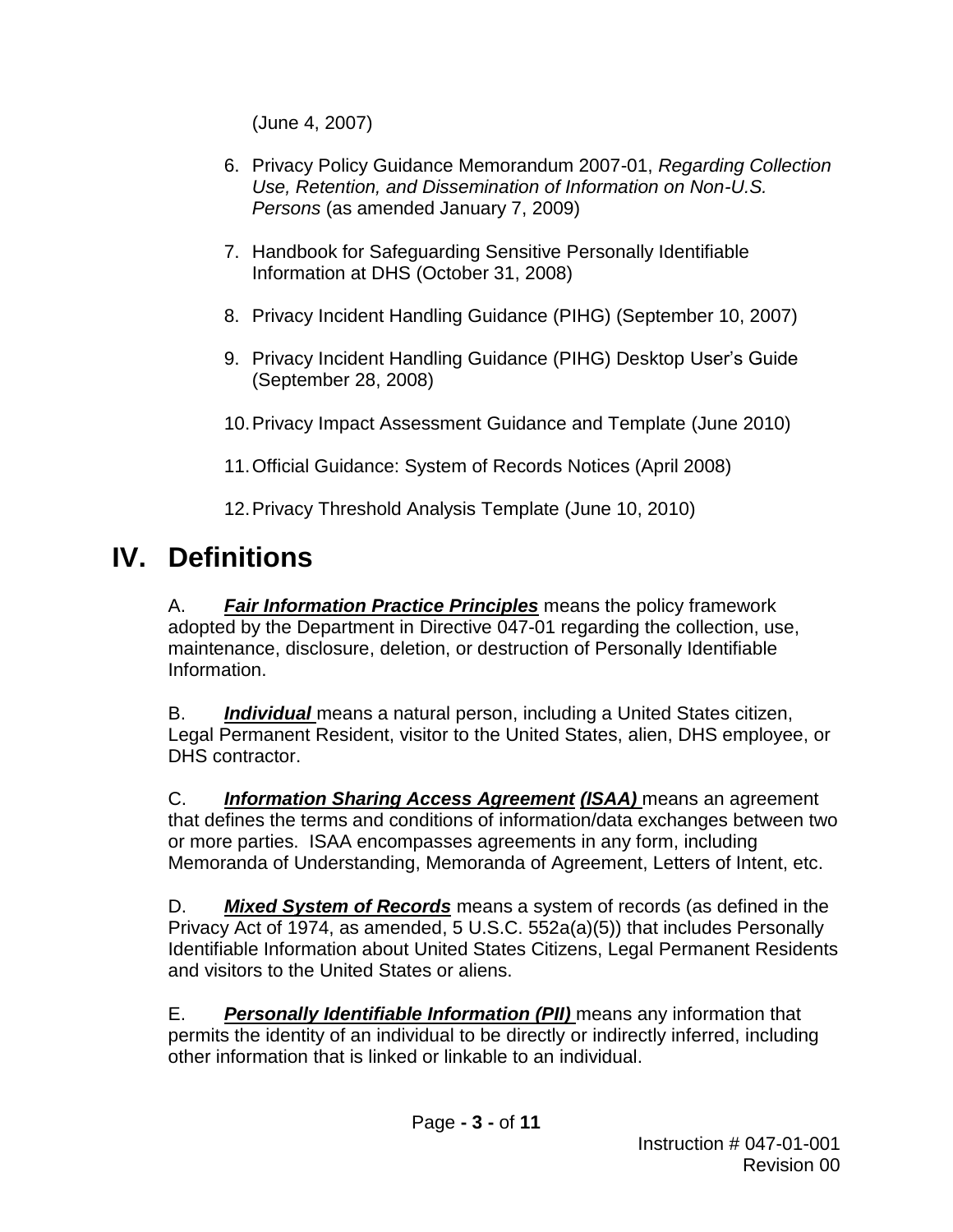(June 4, 2007)

- 6. Privacy Policy Guidance Memorandum 2007-01, *Regarding Collection Use, Retention, and Dissemination of Information on Non-U.S. Persons* (as amended January 7, 2009)
- 7. Handbook for Safeguarding Sensitive Personally Identifiable Information at DHS (October 31, 2008)
- 8. Privacy Incident Handling Guidance (PIHG) (September 10, 2007)
- 9. Privacy Incident Handling Guidance (PIHG) Desktop User's Guide (September 28, 2008)
- 10. Privacy Impact Assessment Guidance and Template (June 2010)
- 11. Official Guidance: System of Records Notices (April 2008)

12. Privacy Threshold Analysis Template (June 10, 2010)

# **IV. Definitions**

A. *Fair Information Practice Principles* means the policy framework adopted by the Department in Directive 047-01 regarding the collection, use, maintenance, disclosure, deletion, or destruction of Personally Identifiable Information.

B. *Individual* means a natural person, including a United States citizen, Legal Permanent Resident, visitor to the United States, alien, DHS employee, or DHS contractor.

C. *Information Sharing Access Agreement (ISAA)* means an agreement that defines the terms and conditions of information/data exchanges between two or more parties. ISAA encompasses agreements in any form, including Memoranda of Understanding, Memoranda of Agreement, Letters of Intent, etc.

D. *Mixed System of Records* means a system of records (as defined in the Privacy Act of 1974, as amended, 5 U.S.C. 552a(a)(5)) that includes Personally Identifiable Information about United States Citizens, Legal Permanent Residents and visitors to the United States or aliens.

E. *Personally Identifiable Information (PII)* means any information that permits the identity of an individual to be directly or indirectly inferred, including other information that is linked or linkable to an individual.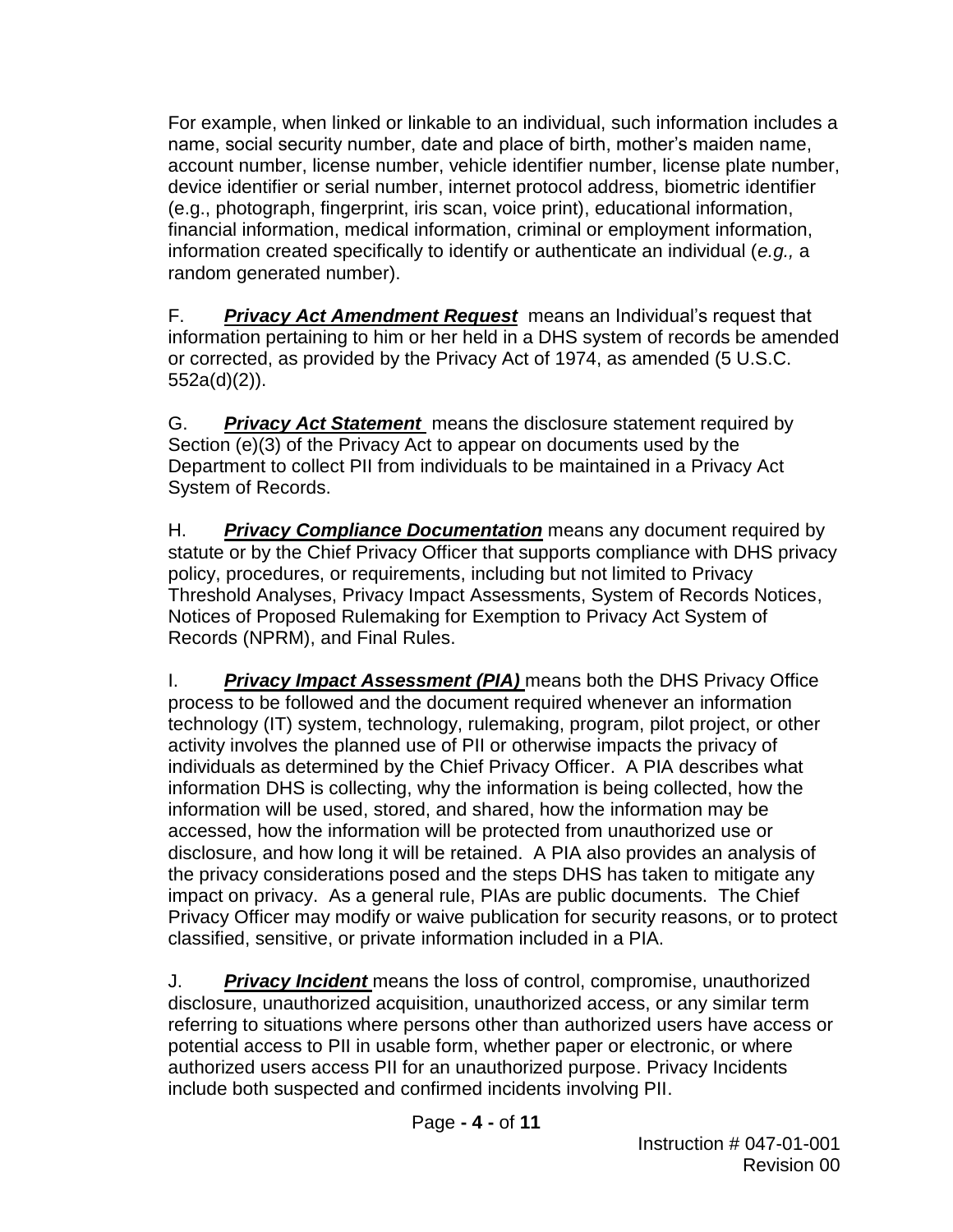For example, when linked or linkable to an individual, such information includes a name, social security number, date and place of birth, mother's maiden name, account number, license number, vehicle identifier number, license plate number, device identifier or serial number, internet protocol address, biometric identifier (e.g., photograph, fingerprint, iris scan, voice print), educational information, financial information, medical information, criminal or employment information, information created specifically to identify or authenticate an individual (*e.g.,* a random generated number).

F. *Privacy Act Amendment Request* means an Individual's request that information pertaining to him or her held in a DHS system of records be amended or corrected, as provided by the Privacy Act of 1974, as amended (5 U.S.C. 552a(d)(2)).

G. *Privacy Act Statement* means the disclosure statement required by Section (e)(3) of the Privacy Act to appear on documents used by the Department to collect PII from individuals to be maintained in a Privacy Act System of Records.

H. *Privacy Compliance Documentation* means any document required by statute or by the Chief Privacy Officer that supports compliance with DHS privacy policy, procedures, or requirements, including but not limited to Privacy Threshold Analyses, Privacy Impact Assessments, System of Records Notices, Notices of Proposed Rulemaking for Exemption to Privacy Act System of Records (NPRM), and Final Rules.

I. *Privacy Impact Assessment (PIA)* means both the DHS Privacy Office process to be followed and the document required whenever an information technology (IT) system, technology, rulemaking, program, pilot project, or other activity involves the planned use of PII or otherwise impacts the privacy of individuals as determined by the Chief Privacy Officer. A PIA describes what information DHS is collecting, why the information is being collected, how the information will be used, stored, and shared, how the information may be accessed, how the information will be protected from unauthorized use or disclosure, and how long it will be retained. A PIA also provides an analysis of the privacy considerations posed and the steps DHS has taken to mitigate any impact on privacy. As a general rule, PIAs are public documents. The Chief Privacy Officer may modify or waive publication for security reasons, or to protect classified, sensitive, or private information included in a PIA.

J. *Privacy Incident* means the loss of control, compromise, unauthorized disclosure, unauthorized acquisition, unauthorized access, or any similar term referring to situations where persons other than authorized users have access or potential access to PII in usable form, whether paper or electronic, or where authorized users access PII for an unauthorized purpose. Privacy Incidents include both suspected and confirmed incidents involving PII.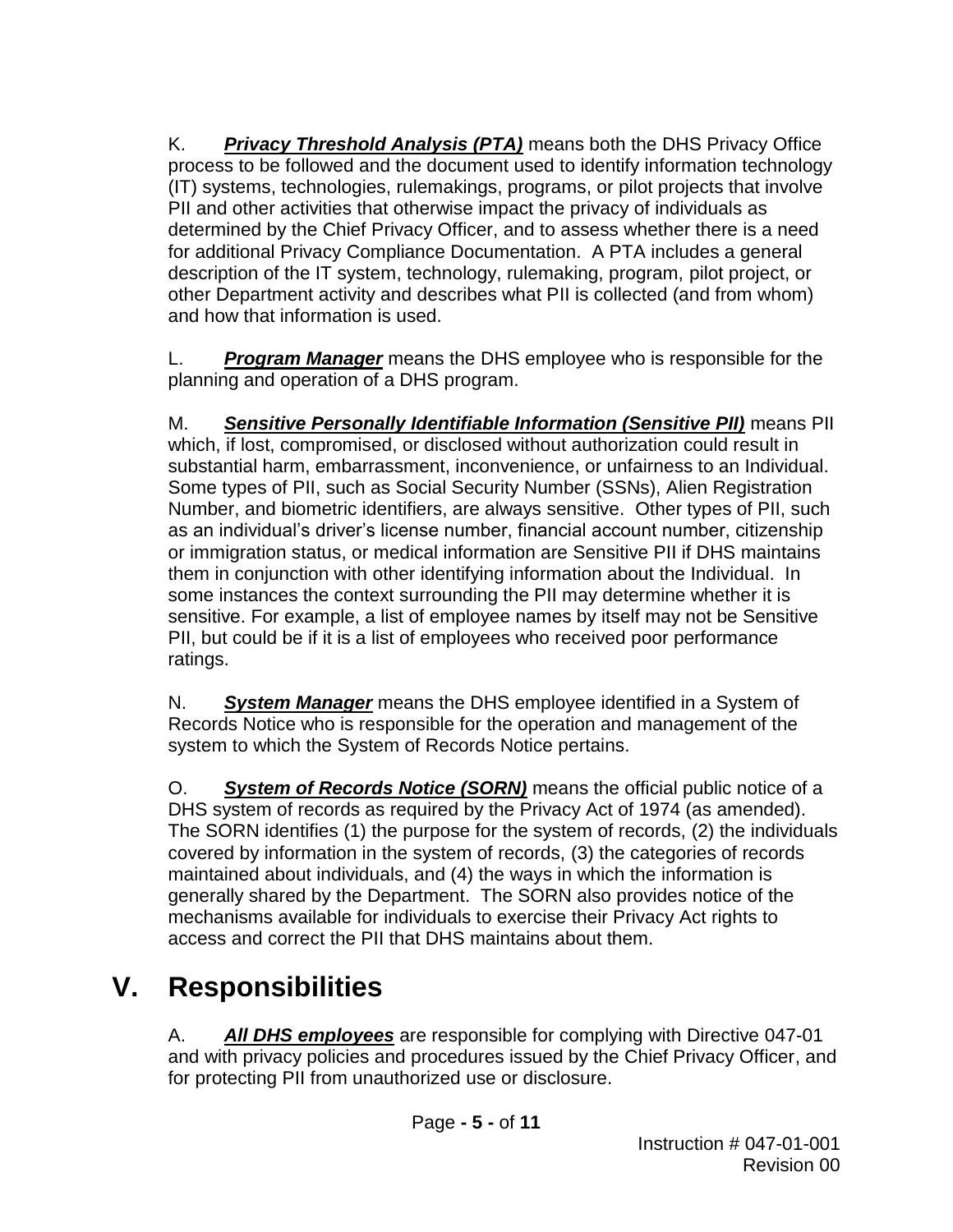K. *Privacy Threshold Analysis (PTA)* means both the DHS Privacy Office process to be followed and the document used to identify information technology (IT) systems, technologies, rulemakings, programs, or pilot projects that involve PII and other activities that otherwise impact the privacy of individuals as determined by the Chief Privacy Officer, and to assess whether there is a need for additional Privacy Compliance Documentation. A PTA includes a general description of the IT system, technology, rulemaking, program, pilot project, or other Department activity and describes what PII is collected (and from whom) and how that information is used.

L. *Program Manager* means the DHS employee who is responsible for the planning and operation of a DHS program.

M. *Sensitive Personally Identifiable Information (Sensitive PII)* means PII which, if lost, compromised, or disclosed without authorization could result in substantial harm, embarrassment, inconvenience, or unfairness to an Individual. Some types of PII, such as Social Security Number (SSNs), Alien Registration Number, and biometric identifiers, are always sensitive. Other types of PII, such as an individual's driver's license number, financial account number, citizenship or immigration status, or medical information are Sensitive PII if DHS maintains them in conjunction with other identifying information about the Individual. In some instances the context surrounding the PII may determine whether it is sensitive. For example, a list of employee names by itself may not be Sensitive PII, but could be if it is a list of employees who received poor performance ratings.

N. *System Manager* means the DHS employee identified in a System of Records Notice who is responsible for the operation and management of the system to which the System of Records Notice pertains.

O. *System of Records Notice (SORN)* means the official public notice of a DHS system of records as required by the Privacy Act of 1974 (as amended). The SORN identifies (1) the purpose for the system of records, (2) the individuals covered by information in the system of records, (3) the categories of records maintained about individuals, and (4) the ways in which the information is generally shared by the Department. The SORN also provides notice of the mechanisms available for individuals to exercise their Privacy Act rights to access and correct the PII that DHS maintains about them.

## **V. Responsibilities**

A. *All DHS employees* are responsible for complying with Directive 047-01 and with privacy policies and procedures issued by the Chief Privacy Officer, and for protecting PII from unauthorized use or disclosure.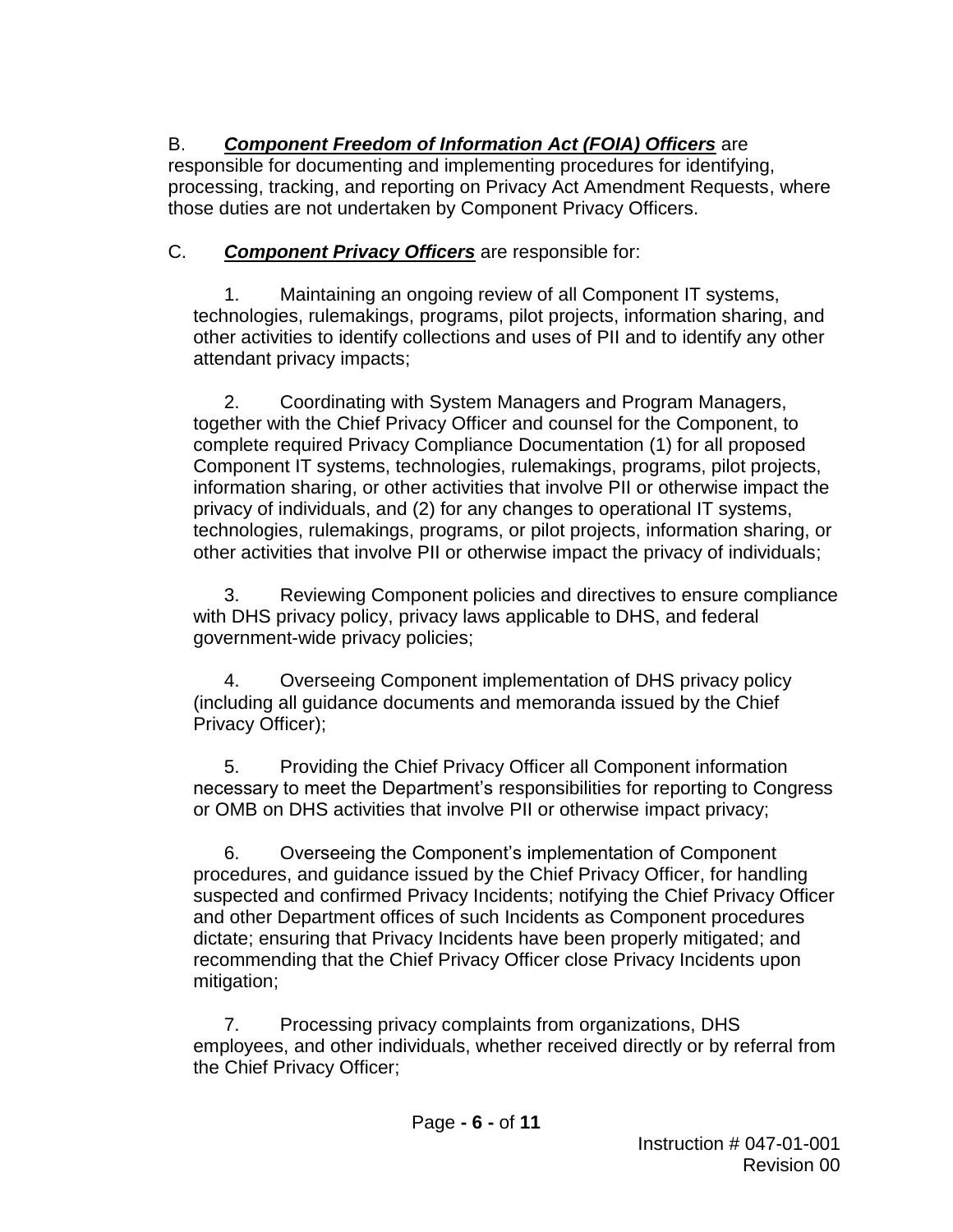B. *Component Freedom of Information Act (FOIA) Officers* are responsible for documenting and implementing procedures for identifying, processing, tracking, and reporting on Privacy Act Amendment Requests, where those duties are not undertaken by Component Privacy Officers.

#### C. *Component Privacy Officers* are responsible for:

1. Maintaining an ongoing review of all Component IT systems, technologies, rulemakings, programs, pilot projects, information sharing, and other activities to identify collections and uses of PII and to identify any other attendant privacy impacts;

2. Coordinating with System Managers and Program Managers, together with the Chief Privacy Officer and counsel for the Component, to complete required Privacy Compliance Documentation (1) for all proposed Component IT systems, technologies, rulemakings, programs, pilot projects, information sharing, or other activities that involve PII or otherwise impact the privacy of individuals, and (2) for any changes to operational IT systems, technologies, rulemakings, programs, or pilot projects, information sharing, or other activities that involve PII or otherwise impact the privacy of individuals;

3. Reviewing Component policies and directives to ensure compliance with DHS privacy policy, privacy laws applicable to DHS, and federal government-wide privacy policies;

4. Overseeing Component implementation of DHS privacy policy (including all guidance documents and memoranda issued by the Chief Privacy Officer);

5. Providing the Chief Privacy Officer all Component information necessary to meet the Department's responsibilities for reporting to Congress or OMB on DHS activities that involve PII or otherwise impact privacy;

6. Overseeing the Component's implementation of Component procedures, and guidance issued by the Chief Privacy Officer, for handling suspected and confirmed Privacy Incidents; notifying the Chief Privacy Officer and other Department offices of such Incidents as Component procedures dictate; ensuring that Privacy Incidents have been properly mitigated; and recommending that the Chief Privacy Officer close Privacy Incidents upon mitigation;

7. Processing privacy complaints from organizations, DHS employees, and other individuals, whether received directly or by referral from the Chief Privacy Officer;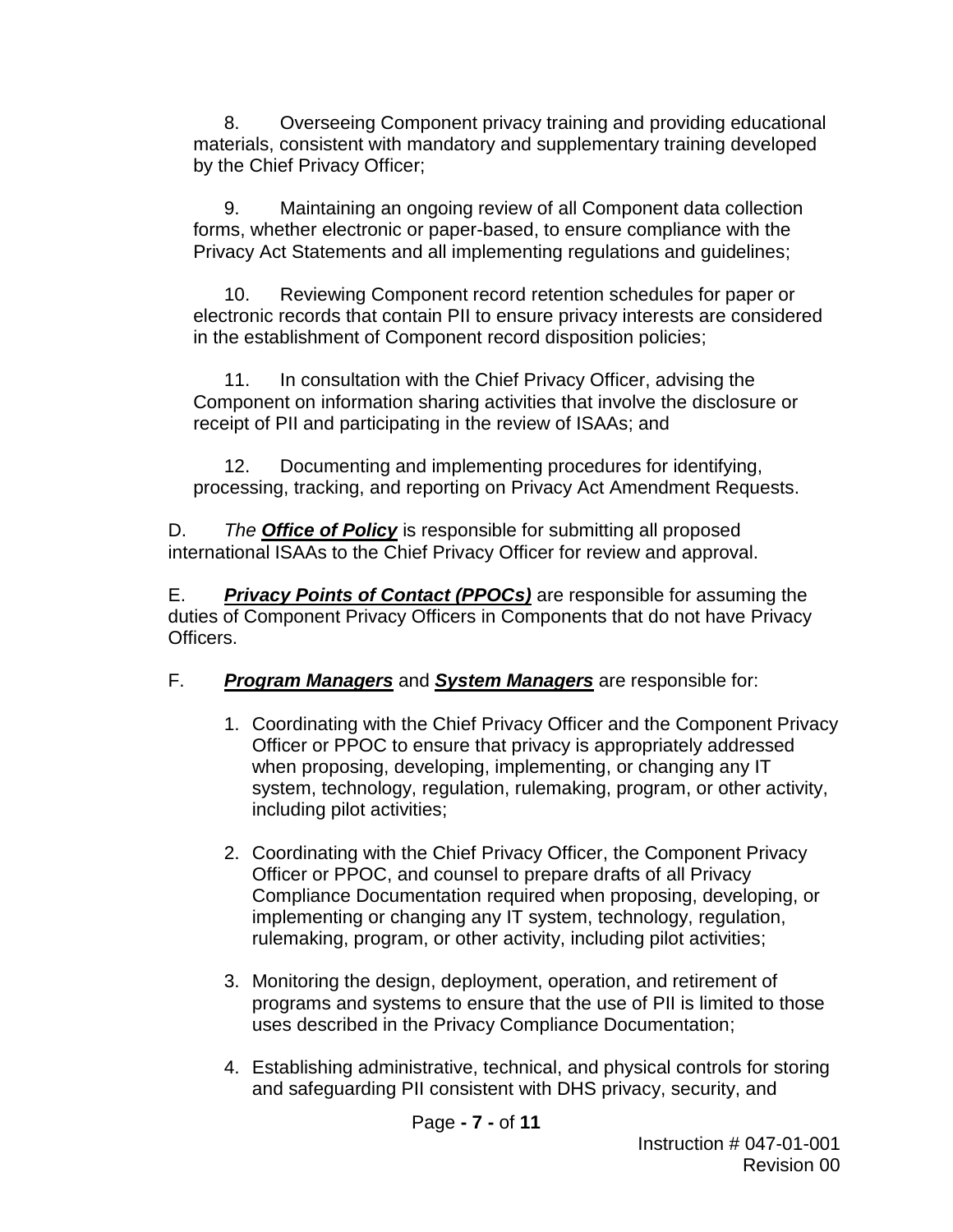8. Overseeing Component privacy training and providing educational materials, consistent with mandatory and supplementary training developed by the Chief Privacy Officer;

9. Maintaining an ongoing review of all Component data collection forms, whether electronic or paper-based, to ensure compliance with the Privacy Act Statements and all implementing regulations and guidelines;

10. Reviewing Component record retention schedules for paper or electronic records that contain PII to ensure privacy interests are considered in the establishment of Component record disposition policies;

11. In consultation with the Chief Privacy Officer, advising the Component on information sharing activities that involve the disclosure or receipt of PII and participating in the review of ISAAs; and

12. Documenting and implementing procedures for identifying, processing, tracking, and reporting on Privacy Act Amendment Requests.

D. *The Office of Policy* is responsible for submitting all proposed international ISAAs to the Chief Privacy Officer for review and approval.

E. *Privacy Points of Contact (PPOCs)* are responsible for assuming the duties of Component Privacy Officers in Components that do not have Privacy Officers.

#### F. *Program Managers* and *System Managers* are responsible for:

- 1. Coordinating with the Chief Privacy Officer and the Component Privacy Officer or PPOC to ensure that privacy is appropriately addressed when proposing, developing, implementing, or changing any IT system, technology, regulation, rulemaking, program, or other activity, including pilot activities;
- 2. Coordinating with the Chief Privacy Officer, the Component Privacy Officer or PPOC, and counsel to prepare drafts of all Privacy Compliance Documentation required when proposing, developing, or implementing or changing any IT system, technology, regulation, rulemaking, program, or other activity, including pilot activities;
- 3. Monitoring the design, deployment, operation, and retirement of programs and systems to ensure that the use of PII is limited to those uses described in the Privacy Compliance Documentation;
- 4. Establishing administrative, technical, and physical controls for storing and safeguarding PII consistent with DHS privacy, security, and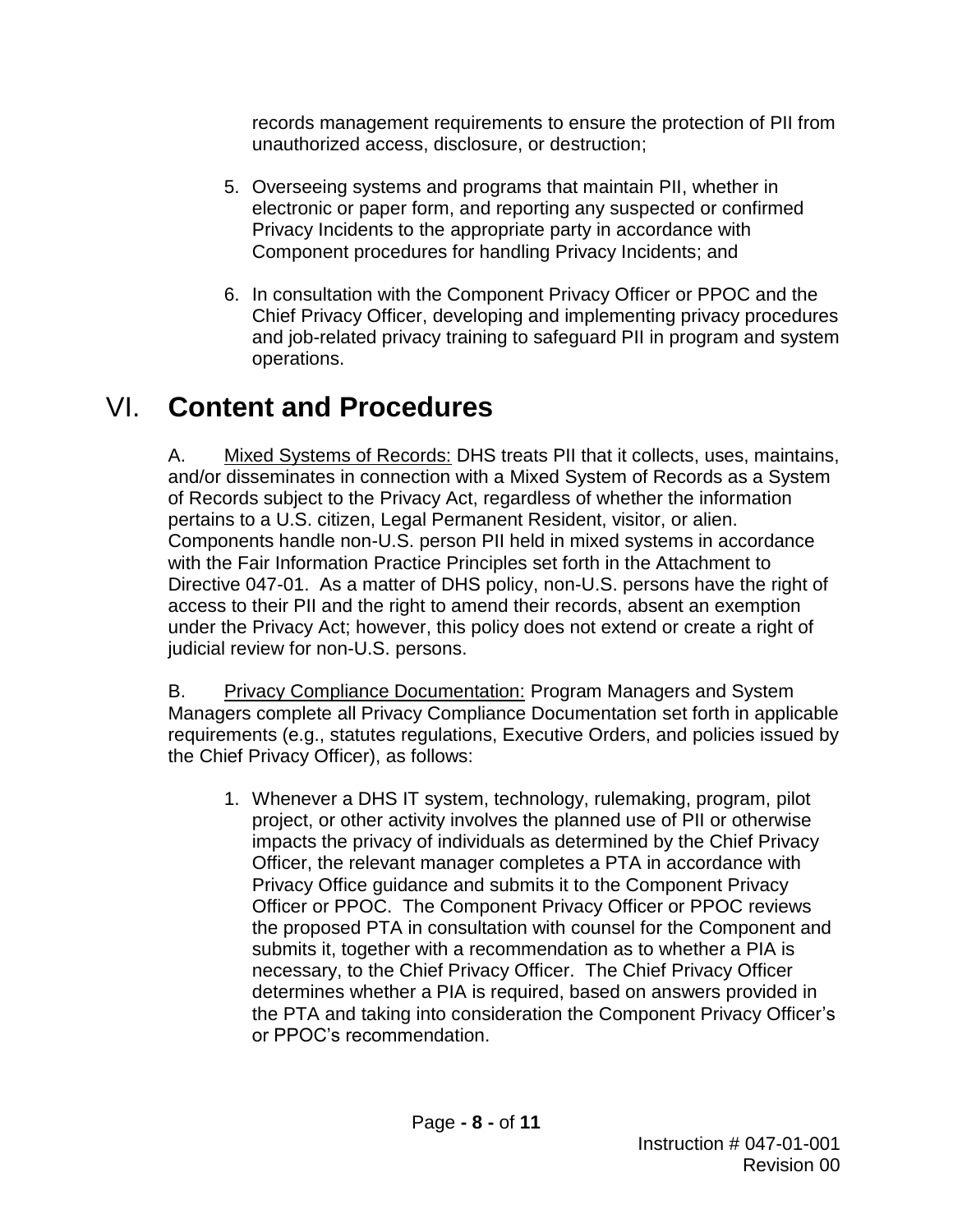records management requirements to ensure the protection of PII from unauthorized access, disclosure, or destruction;

- 5. Overseeing systems and programs that maintain PII, whether in electronic or paper form, and reporting any suspected or confirmed Privacy Incidents to the appropriate party in accordance with Component procedures for handling Privacy Incidents; and
- 6. In consultation with the Component Privacy Officer or PPOC and the Chief Privacy Officer, developing and implementing privacy procedures and job-related privacy training to safeguard PII in program and system operations.

## VI. **Content and Procedures**

A. Mixed Systems of Records: DHS treats PII that it collects, uses, maintains, and/or disseminates in connection with a Mixed System of Records as a System of Records subject to the Privacy Act, regardless of whether the information pertains to a U.S. citizen, Legal Permanent Resident, visitor, or alien. Components handle non-U.S. person PII held in mixed systems in accordance with the Fair Information Practice Principles set forth in the Attachment to Directive 047-01. As a matter of DHS policy, non-U.S. persons have the right of access to their PII and the right to amend their records, absent an exemption under the Privacy Act; however, this policy does not extend or create a right of judicial review for non-U.S. persons.

B. Privacy Compliance Documentation: Program Managers and System Managers complete all Privacy Compliance Documentation set forth in applicable requirements (e.g., statutes regulations, Executive Orders, and policies issued by the Chief Privacy Officer), as follows:

1. Whenever a DHS IT system, technology, rulemaking, program, pilot project, or other activity involves the planned use of PII or otherwise impacts the privacy of individuals as determined by the Chief Privacy Officer, the relevant manager completes a PTA in accordance with Privacy Office guidance and submits it to the Component Privacy Officer or PPOC.The Component Privacy Officer or PPOC reviews the proposed PTA in consultation with counsel for the Component and submits it, together with a recommendation as to whether a PIA is necessary, to the Chief Privacy Officer. The Chief Privacy Officer determines whether a PIA is required, based on answers provided in the PTA and taking into consideration the Component Privacy Officer's or PPOC's recommendation.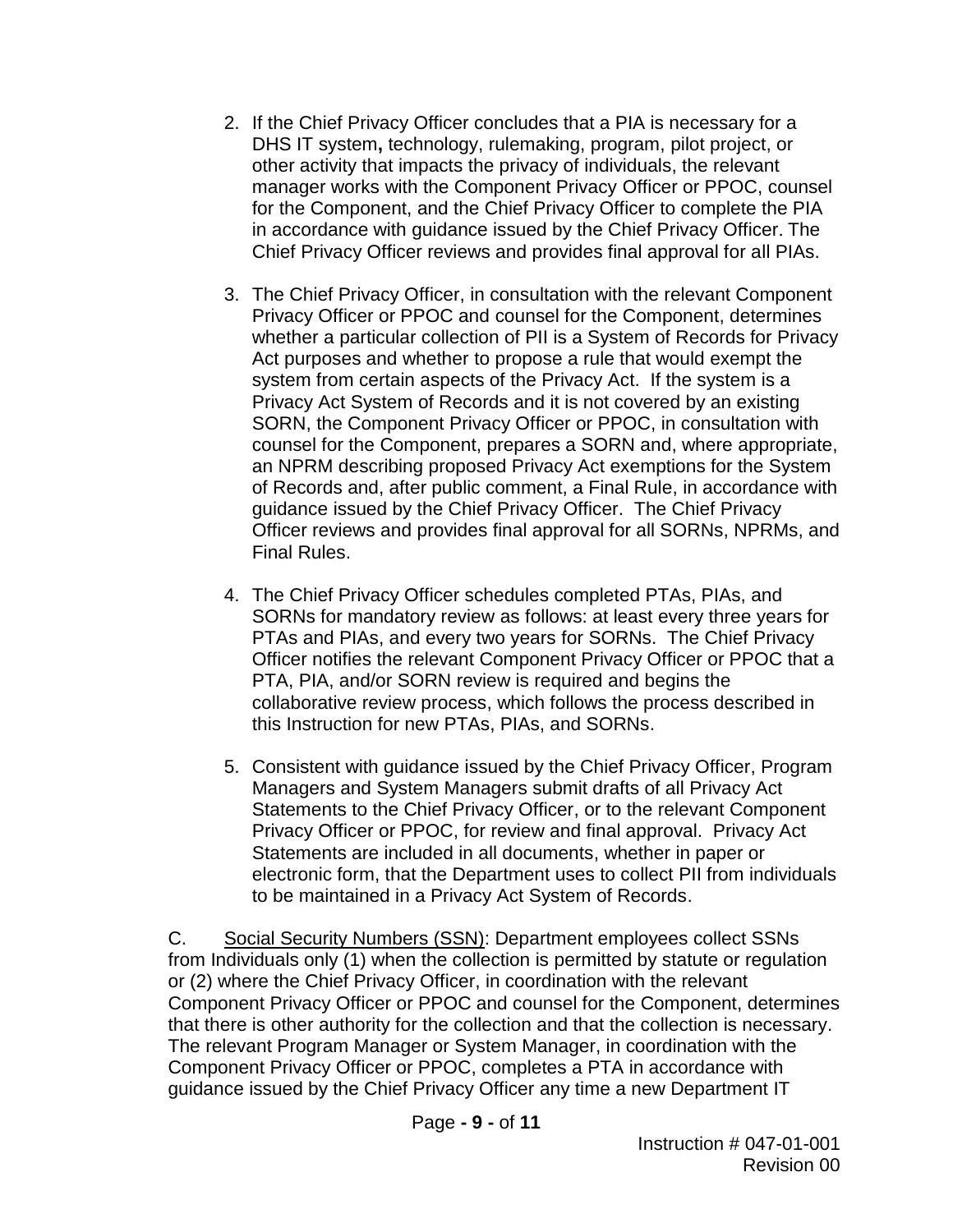- 2. If the Chief Privacy Officer concludes that a PIA is necessary for a DHS IT system**,** technology, rulemaking, program, pilot project, or other activity that impacts the privacy of individuals, the relevant manager works with the Component Privacy Officer or PPOC, counsel for the Component, and the Chief Privacy Officer to complete the PIA in accordance with guidance issued by the Chief Privacy Officer. The Chief Privacy Officer reviews and provides final approval for all PIAs.
- 3. The Chief Privacy Officer, in consultation with the relevant Component Privacy Officer or PPOC and counsel for the Component, determines whether a particular collection of PII is a System of Records for Privacy Act purposes and whether to propose a rule that would exempt the system from certain aspects of the Privacy Act. If the system is a Privacy Act System of Records and it is not covered by an existing SORN, the Component Privacy Officer or PPOC, in consultation with counsel for the Component, prepares a SORN and, where appropriate, an NPRM describing proposed Privacy Act exemptions for the System of Records and, after public comment, a Final Rule, in accordance with guidance issued by the Chief Privacy Officer. The Chief Privacy Officer reviews and provides final approval for all SORNs, NPRMs, and Final Rules.
- 4. The Chief Privacy Officer schedules completed PTAs, PIAs, and SORNs for mandatory review as follows: at least every three years for PTAs and PIAs, and every two years for SORNs. The Chief Privacy Officer notifies the relevant Component Privacy Officer or PPOC that a PTA, PIA, and/or SORN review is required and begins the collaborative review process, which follows the process described in this Instruction for new PTAs, PIAs, and SORNs.
- 5. Consistent with guidance issued by the Chief Privacy Officer, Program Managers and System Managers submit drafts of all Privacy Act Statements to the Chief Privacy Officer, or to the relevant Component Privacy Officer or PPOC, for review and final approval. Privacy Act Statements are included in all documents, whether in paper or electronic form, that the Department uses to collect PII from individuals to be maintained in a Privacy Act System of Records.

C. Social Security Numbers (SSN): Department employees collect SSNs from Individuals only (1) when the collection is permitted by statute or regulation or (2) where the Chief Privacy Officer, in coordination with the relevant Component Privacy Officer or PPOC and counsel for the Component, determines that there is other authority for the collection and that the collection is necessary. The relevant Program Manager or System Manager, in coordination with the Component Privacy Officer or PPOC, completes a PTA in accordance with guidance issued by the Chief Privacy Officer any time a new Department IT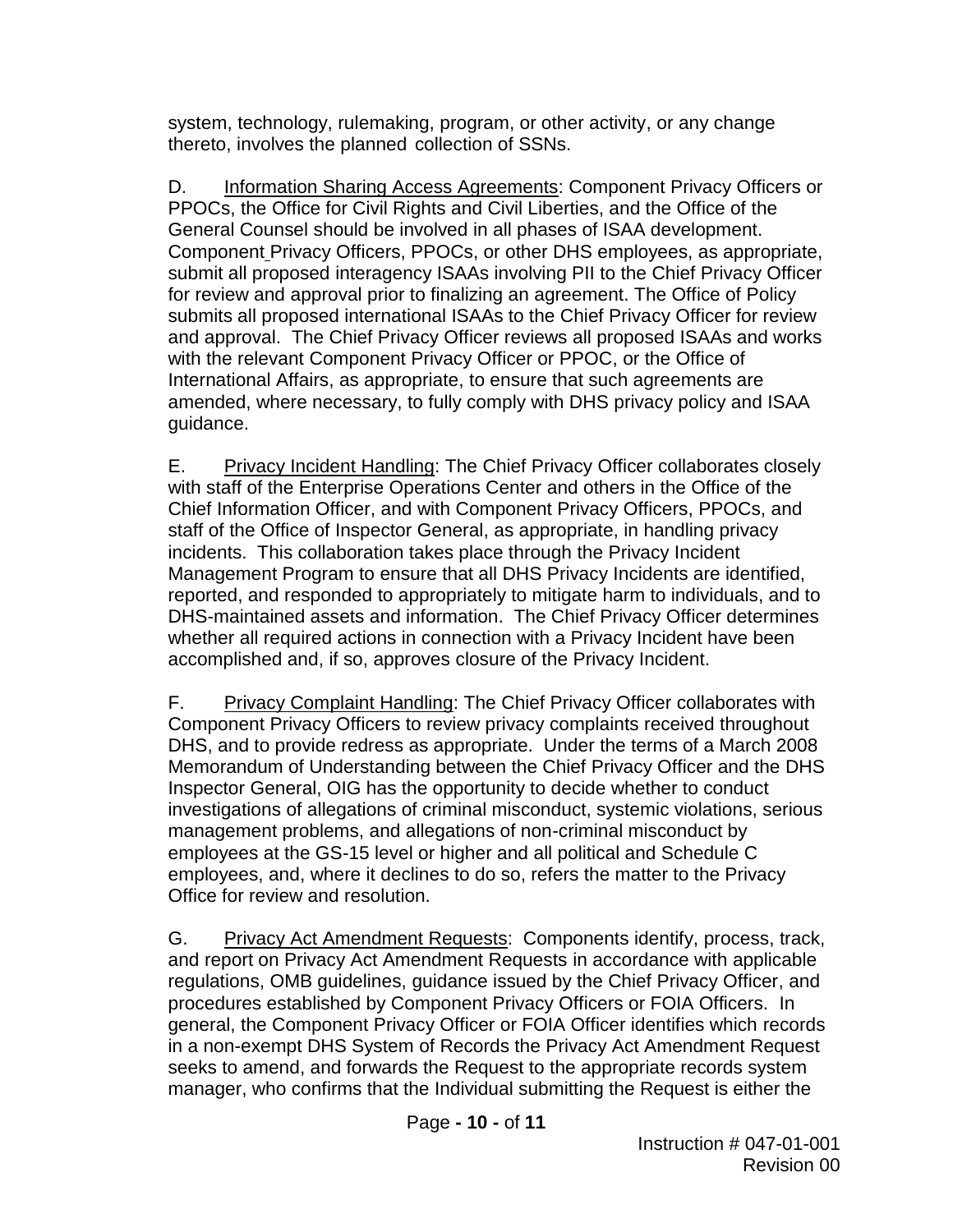system, technology, rulemaking, program, or other activity, or any change thereto, involves the planned collection of SSNs.

D. Information Sharing Access Agreements: Component Privacy Officers or PPOCs, the Office for Civil Rights and Civil Liberties, and the Office of the General Counsel should be involved in all phases of ISAA development. Component Privacy Officers, PPOCs, or other DHS employees, as appropriate, submit all proposed interagency ISAAs involving PII to the Chief Privacy Officer for review and approval prior to finalizing an agreement. The Office of Policy submits all proposed international ISAAs to the Chief Privacy Officer for review and approval. The Chief Privacy Officer reviews all proposed ISAAs and works with the relevant Component Privacy Officer or PPOC, or the Office of International Affairs, as appropriate, to ensure that such agreements are amended, where necessary, to fully comply with DHS privacy policy and ISAA guidance.

E. Privacy Incident Handling: The Chief Privacy Officer collaborates closely with staff of the Enterprise Operations Center and others in the Office of the Chief Information Officer, and with Component Privacy Officers, PPOCs, and staff of the Office of Inspector General, as appropriate, in handling privacy incidents. This collaboration takes place through the Privacy Incident Management Program to ensure that all DHS Privacy Incidents are identified, reported, and responded to appropriately to mitigate harm to individuals, and to DHS-maintained assets and information. The Chief Privacy Officer determines whether all required actions in connection with a Privacy Incident have been accomplished and, if so, approves closure of the Privacy Incident.

F. Privacy Complaint Handling: The Chief Privacy Officer collaborates with Component Privacy Officers to review privacy complaints received throughout DHS, and to provide redress as appropriate. Under the terms of a March 2008 Memorandum of Understanding between the Chief Privacy Officer and the DHS Inspector General, OIG has the opportunity to decide whether to conduct investigations of allegations of criminal misconduct, systemic violations, serious management problems, and allegations of non-criminal misconduct by employees at the GS-15 level or higher and all political and Schedule C employees, and, where it declines to do so, refers the matter to the Privacy Office for review and resolution.

G. Privacy Act Amendment Requests: Components identify, process, track, and report on Privacy Act Amendment Requests in accordance with applicable regulations, OMB guidelines, guidance issued by the Chief Privacy Officer, and procedures established by Component Privacy Officers or FOIA Officers. In general, the Component Privacy Officer or FOIA Officer identifies which records in a non-exempt DHS System of Records the Privacy Act Amendment Request seeks to amend, and forwards the Request to the appropriate records system manager, who confirms that the Individual submitting the Request is either the